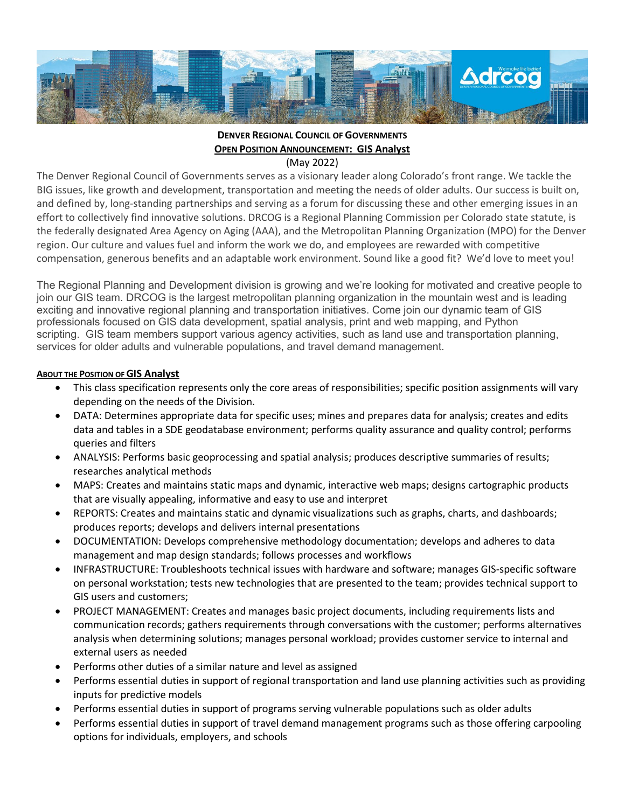

# **DENVER REGIONAL COUNCIL OF GOVERNMENTS OPEN POSITION ANNOUNCEMENT: GIS Analyst**

(May 2022)

The Denver Regional Council of Governments serves as a visionary leader along Colorado's front range. We tackle the BIG issues, like growth and development, transportation and meeting the needs of older adults. Our success is built on, and defined by, long-standing partnerships and serving as a forum for discussing these and other emerging issues in an effort to collectively find innovative solutions. DRCOG is a Regional Planning Commission per Colorado state statute, is the federally designated Area Agency on Aging (AAA), and the Metropolitan Planning Organization (MPO) for the Denver region. Our culture and values fuel and inform the work we do, and employees are rewarded with competitive compensation, generous benefits and an adaptable work environment. Sound like a good fit? We'd love to meet you!

The Regional Planning and Development division is growing and we're looking for motivated and creative people to join our GIS team. DRCOG is the largest metropolitan planning organization in the mountain west and is leading exciting and innovative regional planning and transportation initiatives. Come join our dynamic team of GIS professionals focused on GIS data development, spatial analysis, print and web mapping, and Python scripting. GIS team members support various agency activities, such as land use and transportation planning, services for older adults and vulnerable populations, and travel demand management.

## **ABOUT THE POSITION OF GIS Analyst**

- This class specification represents only the core areas of responsibilities; specific position assignments will vary depending on the needs of the Division.
- DATA: Determines appropriate data for specific uses; mines and prepares data for analysis; creates and edits data and tables in a SDE geodatabase environment; performs quality assurance and quality control; performs queries and filters
- ANALYSIS: Performs basic geoprocessing and spatial analysis; produces descriptive summaries of results; researches analytical methods
- MAPS: Creates and maintains static maps and dynamic, interactive web maps; designs cartographic products that are visually appealing, informative and easy to use and interpret
- REPORTS: Creates and maintains static and dynamic visualizations such as graphs, charts, and dashboards; produces reports; develops and delivers internal presentations
- DOCUMENTATION: Develops comprehensive methodology documentation; develops and adheres to data management and map design standards; follows processes and workflows
- INFRASTRUCTURE: Troubleshoots technical issues with hardware and software; manages GIS-specific software on personal workstation; tests new technologies that are presented to the team; provides technical support to GIS users and customers;
- PROJECT MANAGEMENT: Creates and manages basic project documents, including requirements lists and communication records; gathers requirements through conversations with the customer; performs alternatives analysis when determining solutions; manages personal workload; provides customer service to internal and external users as needed
- Performs other duties of a similar nature and level as assigned
- Performs essential duties in support of regional transportation and land use planning activities such as providing inputs for predictive models
- Performs essential duties in support of programs serving vulnerable populations such as older adults
- Performs essential duties in support of travel demand management programs such as those offering carpooling options for individuals, employers, and schools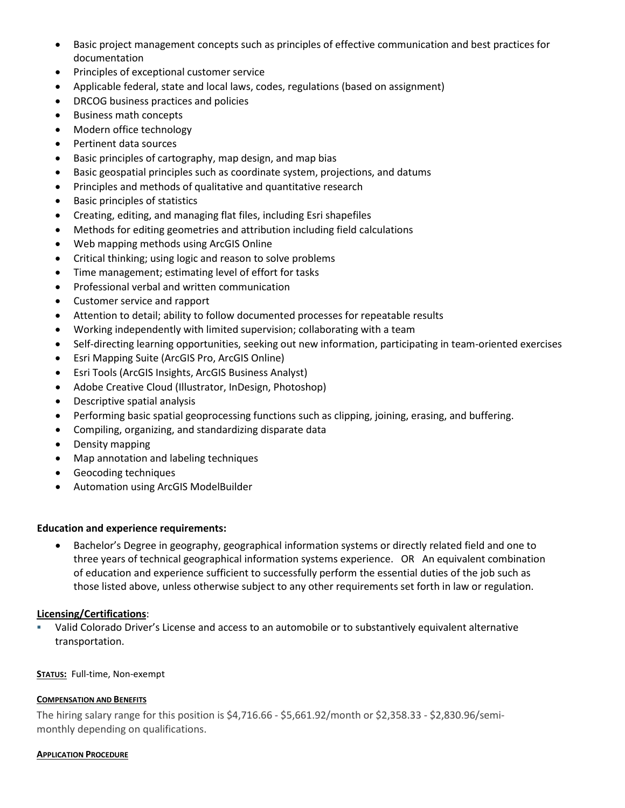- Basic project management concepts such as principles of effective communication and best practices for documentation
- Principles of exceptional customer service
- Applicable federal, state and local laws, codes, regulations (based on assignment)
- DRCOG business practices and policies
- Business math concepts
- Modern office technology
- Pertinent data sources
- Basic principles of cartography, map design, and map bias
- Basic geospatial principles such as coordinate system, projections, and datums
- Principles and methods of qualitative and quantitative research
- Basic principles of statistics
- Creating, editing, and managing flat files, including Esri shapefiles
- Methods for editing geometries and attribution including field calculations
- Web mapping methods using ArcGIS Online
- Critical thinking; using logic and reason to solve problems
- Time management; estimating level of effort for tasks
- Professional verbal and written communication
- Customer service and rapport
- Attention to detail; ability to follow documented processes for repeatable results
- Working independently with limited supervision; collaborating with a team
- Self-directing learning opportunities, seeking out new information, participating in team-oriented exercises
- Esri Mapping Suite (ArcGIS Pro, ArcGIS Online)
- Esri Tools (ArcGIS Insights, ArcGIS Business Analyst)
- Adobe Creative Cloud (Illustrator, InDesign, Photoshop)
- Descriptive spatial analysis
- Performing basic spatial geoprocessing functions such as clipping, joining, erasing, and buffering.
- Compiling, organizing, and standardizing disparate data
- Density mapping
- Map annotation and labeling techniques
- Geocoding techniques
- Automation using ArcGIS ModelBuilder

### **Education and experience requirements:**

• Bachelor's Degree in geography, geographical information systems or directly related field and one to three years of technical geographical information systems experience. OR An equivalent combination of education and experience sufficient to successfully perform the essential duties of the job such as those listed above, unless otherwise subject to any other requirements set forth in law or regulation.

## **Licensing/Certifications**:

 Valid Colorado Driver's License and access to an automobile or to substantively equivalent alternative transportation.

#### **STATUS:** Full-time, Non-exempt

#### **COMPENSATION AND BENEFITS**

The hiring salary range for this position is \$4,716.66 - \$5,661.92/month or \$2,358.33 - \$2,830.96/semimonthly depending on qualifications.

#### **APPLICATION PROCEDURE**